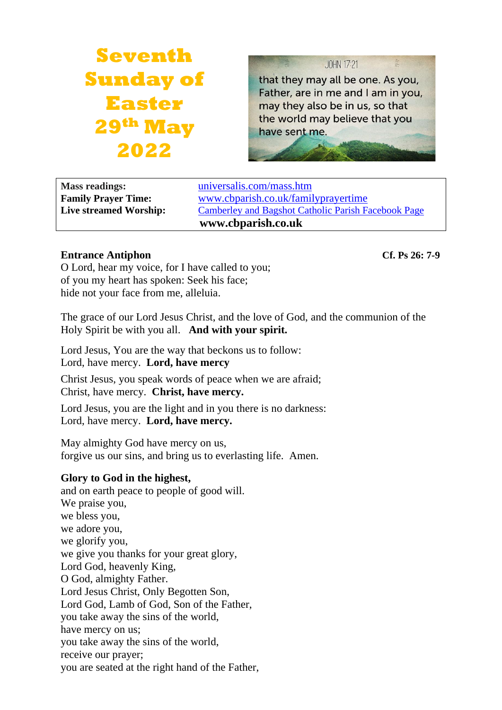# **Seventh Sunday of Easter 29th May 2022**

JOHN 17:21

that they may all be one. As you, Father, are in me and I am in you, may they also be in us, so that the world may believe that you have sent me.

**Mass readings:** [universalis.com/mass.htm](https://universalis.com/mass.htm) **Family Prayer Time:** www.cbparish.co.uk/familyprayertime **Live streamed Worship:** [Camberley and Bagshot Catholic Parish Facebook Page](https://www.facebook.com/Camberley-Bagshot-Catholic-Parish-102099478101801/) **www.cbparish.co.uk**

# **Entrance Antiphon Cf. Ps 26: 7-9**

O Lord, hear my voice, for I have called to you; of you my heart has spoken: Seek his face; hide not your face from me, alleluia.

The grace of our Lord Jesus Christ, and the love of God, and the communion of the Holy Spirit be with you all. **And with your spirit.**

Lord Jesus, You are the way that beckons us to follow: Lord, have mercy. **Lord, have mercy**

Christ Jesus, you speak words of peace when we are afraid; Christ, have mercy. **Christ, have mercy.**

Lord Jesus, you are the light and in you there is no darkness: Lord, have mercy. **Lord, have mercy.**

May almighty God have mercy on us, forgive us our sins, and bring us to everlasting life. Amen.

# **Glory to God in the highest,**

and on earth peace to people of good will. We praise you, we bless you, we adore you, we glorify you, we give you thanks for your great glory, Lord God, heavenly King, O God, almighty Father. Lord Jesus Christ, Only Begotten Son, Lord God, Lamb of God, Son of the Father, you take away the sins of the world, have mercy on us; you take away the sins of the world, receive our prayer; you are seated at the right hand of the Father,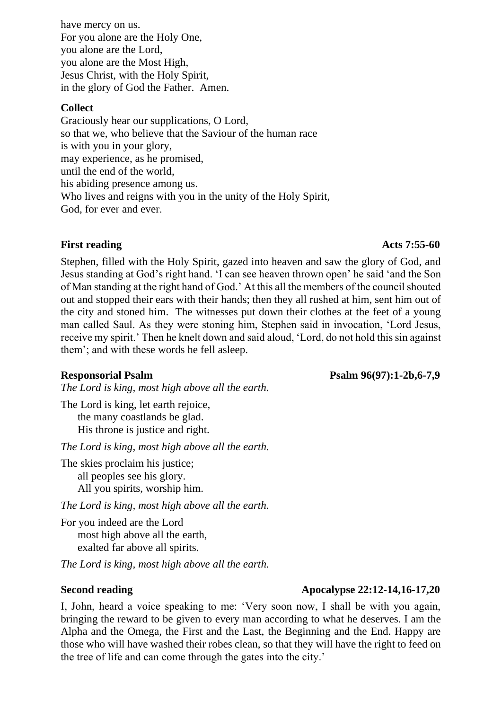have mercy on us. For you alone are the Holy One, you alone are the Lord, you alone are the Most High, Jesus Christ, with the Holy Spirit, in the glory of God the Father. Amen.

### **Collect**

Graciously hear our supplications, O Lord, so that we, who believe that the Saviour of the human race is with you in your glory, may experience, as he promised, until the end of the world, his abiding presence among us. Who lives and reigns with you in the unity of the Holy Spirit, God, for ever and ever.

## **First reading Acts 7:55-60**

Stephen, filled with the Holy Spirit, gazed into heaven and saw the glory of God, and Jesus standing at God's right hand. 'I can see heaven thrown open' he said 'and the Son of Man standing at the right hand of God.' At this all the members of the council shouted out and stopped their ears with their hands; then they all rushed at him, sent him out of the city and stoned him. The witnesses put down their clothes at the feet of a young man called Saul. As they were stoning him, Stephen said in invocation, 'Lord Jesus, receive my spirit.' Then he knelt down and said aloud, 'Lord, do not hold this sin against them'; and with these words he fell asleep.

*The Lord is king, most high above all the earth.*

The Lord is king, let earth rejoice, the many coastlands be glad. His throne is justice and right.

*The Lord is king, most high above all the earth.*

The skies proclaim his justice; all peoples see his glory. All you spirits, worship him.

*The Lord is king, most high above all the earth.*

For you indeed are the Lord most high above all the earth, exalted far above all spirits.

*The Lord is king, most high above all the earth.*

# **Second reading Apocalypse 22:12-14,16-17,20**

I, John, heard a voice speaking to me: 'Very soon now, I shall be with you again, bringing the reward to be given to every man according to what he deserves. I am the Alpha and the Omega, the First and the Last, the Beginning and the End. Happy are those who will have washed their robes clean, so that they will have the right to feed on the tree of life and can come through the gates into the city.'

## **Responsorial Psalm Psalm 96(97):1-2b,6-7,9**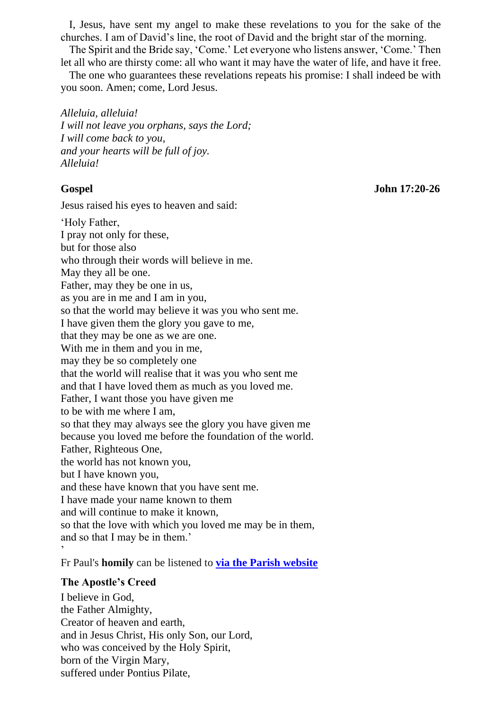I, Jesus, have sent my angel to make these revelations to you for the sake of the churches. I am of David's line, the root of David and the bright star of the morning.

The Spirit and the Bride say, 'Come.' Let everyone who listens answer, 'Come.' Then let all who are thirsty come: all who want it may have the water of life, and have it free.

The one who guarantees these revelations repeats his promise: I shall indeed be with you soon. Amen; come, Lord Jesus.

*Alleluia, alleluia! I will not leave you orphans, says the Lord; I will come back to you, and your hearts will be full of joy. Alleluia!*

**Gospel John 17:20-26**

Jesus raised his eyes to heaven and said:

'Holy Father, I pray not only for these, but for those also who through their words will believe in me. May they all be one. Father, may they be one in us, as you are in me and I am in you, so that the world may believe it was you who sent me. I have given them the glory you gave to me, that they may be one as we are one. With me in them and you in me, may they be so completely one that the world will realise that it was you who sent me and that I have loved them as much as you loved me. Father, I want those you have given me to be with me where I am, so that they may always see the glory you have given me because you loved me before the foundation of the world. Father, Righteous One, the world has not known you, but I have known you, and these have known that you have sent me. I have made your name known to them and will continue to make it known, so that the love with which you loved me may be in them, and so that I may be in them.' '

Fr Paul's **homily** can be listened to **via the Parish [website](https://www.cbparish.co.uk/homilies)**

## **The Apostle's Creed**

I believe in God, the Father Almighty, Creator of heaven and earth, and in Jesus Christ, His only Son, our Lord, who was conceived by the Holy Spirit, born of the Virgin Mary, suffered under Pontius Pilate,